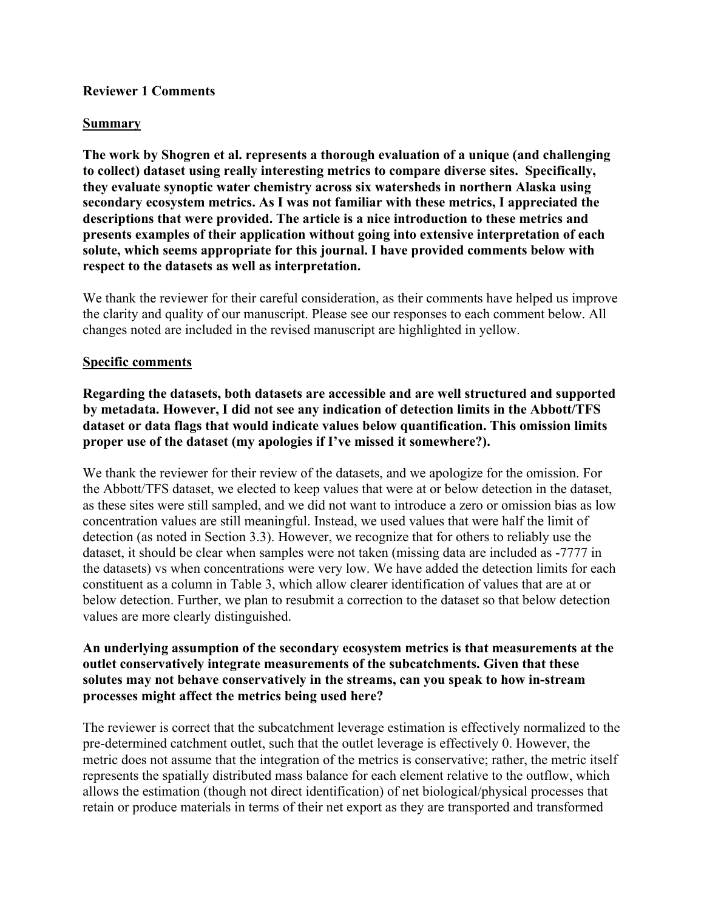#### **Reviewer 1 Comments**

#### **Summary**

**The work by Shogren et al. represents a thorough evaluation of a unique (and challenging to collect) dataset using really interesting metrics to compare diverse sites. Specifically, they evaluate synoptic water chemistry across six watersheds in northern Alaska using secondary ecosystem metrics. As I was not familiar with these metrics, I appreciated the descriptions that were provided. The article is a nice introduction to these metrics and presents examples of their application without going into extensive interpretation of each solute, which seems appropriate for this journal. I have provided comments below with respect to the datasets as well as interpretation.**

We thank the reviewer for their careful consideration, as their comments have helped us improve the clarity and quality of our manuscript. Please see our responses to each comment below. All changes noted are included in the revised manuscript are highlighted in yellow.

#### **Specific comments**

**Regarding the datasets, both datasets are accessible and are well structured and supported by metadata. However, I did not see any indication of detection limits in the Abbott/TFS dataset or data flags that would indicate values below quantification. This omission limits proper use of the dataset (my apologies if I've missed it somewhere?).**

We thank the reviewer for their review of the datasets, and we apologize for the omission. For the Abbott/TFS dataset, we elected to keep values that were at or below detection in the dataset, as these sites were still sampled, and we did not want to introduce a zero or omission bias as low concentration values are still meaningful. Instead, we used values that were half the limit of detection (as noted in Section 3.3). However, we recognize that for others to reliably use the dataset, it should be clear when samples were not taken (missing data are included as -7777 in the datasets) vs when concentrations were very low. We have added the detection limits for each constituent as a column in Table 3, which allow clearer identification of values that are at or below detection. Further, we plan to resubmit a correction to the dataset so that below detection values are more clearly distinguished.

#### **An underlying assumption of the secondary ecosystem metrics is that measurements at the outlet conservatively integrate measurements of the subcatchments. Given that these solutes may not behave conservatively in the streams, can you speak to how in-stream processes might affect the metrics being used here?**

The reviewer is correct that the subcatchment leverage estimation is effectively normalized to the pre-determined catchment outlet, such that the outlet leverage is effectively 0. However, the metric does not assume that the integration of the metrics is conservative; rather, the metric itself represents the spatially distributed mass balance for each element relative to the outflow, which allows the estimation (though not direct identification) of net biological/physical processes that retain or produce materials in terms of their net export as they are transported and transformed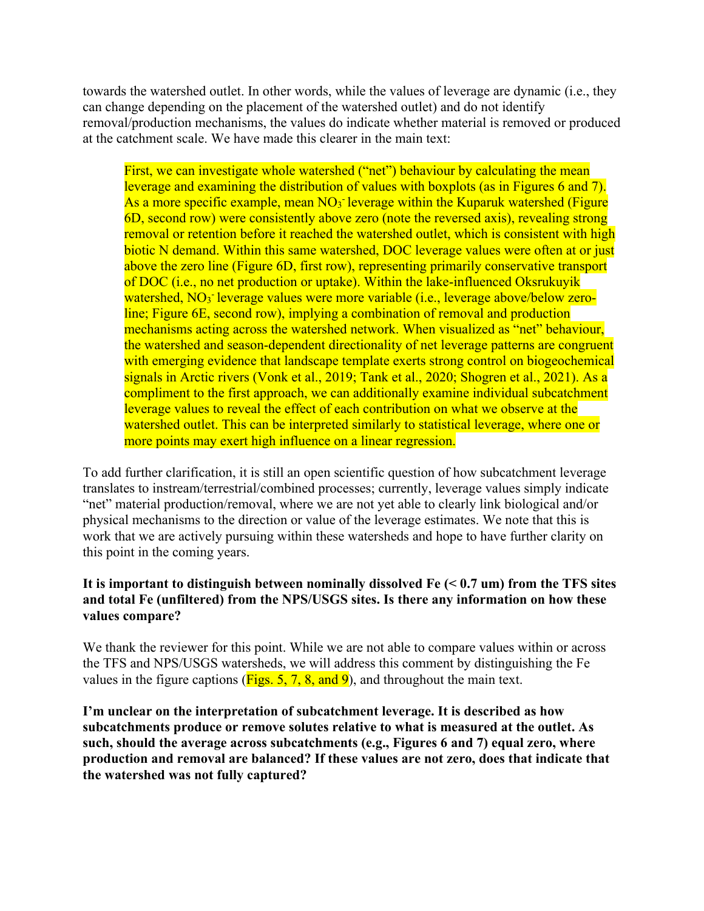towards the watershed outlet. In other words, while the values of leverage are dynamic (i.e., they can change depending on the placement of the watershed outlet) and do not identify removal/production mechanisms, the values do indicate whether material is removed or produced at the catchment scale. We have made this clearer in the main text:

First, we can investigate whole watershed ("net") behaviour by calculating the mean leverage and examining the distribution of values with boxplots (as in Figures 6 and 7). As a more specific example, mean NO<sub>3</sub> leverage within the Kuparuk watershed (Figure 6D, second row) were consistently above zero (note the reversed axis), revealing strong removal or retention before it reached the watershed outlet, which is consistent with high biotic N demand. Within this same watershed, DOC leverage values were often at or just above the zero line (Figure 6D, first row), representing primarily conservative transport of DOC (i.e., no net production or uptake). Within the lake-influenced Oksrukuyik watershed, NO<sub>3</sub><sup>-</sup> leverage values were more variable (i.e., leverage above/below zeroline; Figure 6E, second row), implying a combination of removal and production mechanisms acting across the watershed network. When visualized as "net" behaviour, the watershed and season-dependent directionality of net leverage patterns are congruent with emerging evidence that landscape template exerts strong control on biogeochemical signals in Arctic rivers (Vonk et al., 2019; Tank et al., 2020; Shogren et al., 2021). As a compliment to the first approach, we can additionally examine individual subcatchment leverage values to reveal the effect of each contribution on what we observe at the watershed outlet. This can be interpreted similarly to statistical leverage, where one or more points may exert high influence on a linear regression.

To add further clarification, it is still an open scientific question of how subcatchment leverage translates to instream/terrestrial/combined processes; currently, leverage values simply indicate "net" material production/removal, where we are not yet able to clearly link biological and/or physical mechanisms to the direction or value of the leverage estimates. We note that this is work that we are actively pursuing within these watersheds and hope to have further clarity on this point in the coming years.

# **It is important to distinguish between nominally dissolved Fe (< 0.7 um) from the TFS sites and total Fe (unfiltered) from the NPS/USGS sites. Is there any information on how these values compare?**

We thank the reviewer for this point. While we are not able to compare values within or across the TFS and NPS/USGS watersheds, we will address this comment by distinguishing the Fe values in the figure captions ( $Figs. 5, 7, 8,$  and 9), and throughout the main text.

**I'm unclear on the interpretation of subcatchment leverage. It is described as how subcatchments produce or remove solutes relative to what is measured at the outlet. As such, should the average across subcatchments (e.g., Figures 6 and 7) equal zero, where production and removal are balanced? If these values are not zero, does that indicate that the watershed was not fully captured?**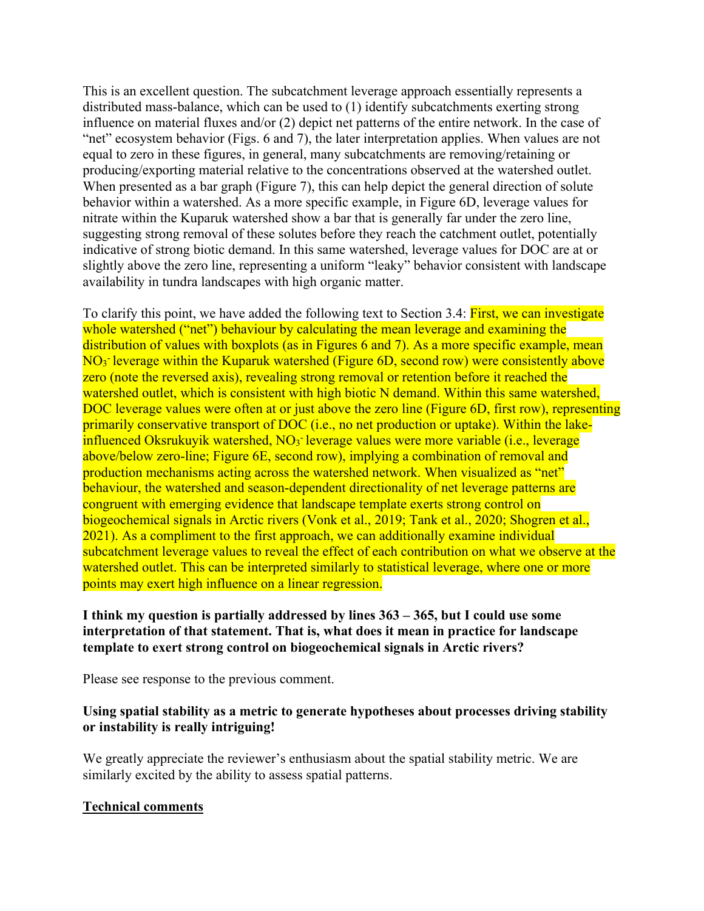This is an excellent question. The subcatchment leverage approach essentially represents a distributed mass-balance, which can be used to (1) identify subcatchments exerting strong influence on material fluxes and/or (2) depict net patterns of the entire network. In the case of "net" ecosystem behavior (Figs. 6 and 7), the later interpretation applies. When values are not equal to zero in these figures, in general, many subcatchments are removing/retaining or producing/exporting material relative to the concentrations observed at the watershed outlet. When presented as a bar graph (Figure 7), this can help depict the general direction of solute behavior within a watershed. As a more specific example, in Figure 6D, leverage values for nitrate within the Kuparuk watershed show a bar that is generally far under the zero line, suggesting strong removal of these solutes before they reach the catchment outlet, potentially indicative of strong biotic demand. In this same watershed, leverage values for DOC are at or slightly above the zero line, representing a uniform "leaky" behavior consistent with landscape availability in tundra landscapes with high organic matter.

To clarify this point, we have added the following text to Section 3.4: First, we can investigate whole watershed ("net") behaviour by calculating the mean leverage and examining the distribution of values with boxplots (as in Figures 6 and 7). As a more specific example, mean NO<sub>3</sub> leverage within the Kuparuk watershed (Figure 6D, second row) were consistently above zero (note the reversed axis), revealing strong removal or retention before it reached the watershed outlet, which is consistent with high biotic N demand. Within this same watershed, DOC leverage values were often at or just above the zero line (Figure 6D, first row), representing primarily conservative transport of DOC (i.e., no net production or uptake). Within the lakeinfluenced Oksrukuyik watershed, NO<sub>3</sub><sup>-</sup> leverage values were more variable (i.e., leverage above/below zero-line; Figure 6E, second row), implying a combination of removal and production mechanisms acting across the watershed network. When visualized as "net" behaviour, the watershed and season-dependent directionality of net leverage patterns are congruent with emerging evidence that landscape template exerts strong control on biogeochemical signals in Arctic rivers (Vonk et al., 2019; Tank et al., 2020; Shogren et al., 2021). As a compliment to the first approach, we can additionally examine individual subcatchment leverage values to reveal the effect of each contribution on what we observe at the watershed outlet. This can be interpreted similarly to statistical leverage, where one or more points may exert high influence on a linear regression.

# **I think my question is partially addressed by lines 363 – 365, but I could use some interpretation of that statement. That is, what does it mean in practice for landscape template to exert strong control on biogeochemical signals in Arctic rivers?**

Please see response to the previous comment.

# **Using spatial stability as a metric to generate hypotheses about processes driving stability or instability is really intriguing!**

We greatly appreciate the reviewer's enthusiasm about the spatial stability metric. We are similarly excited by the ability to assess spatial patterns.

# **Technical comments**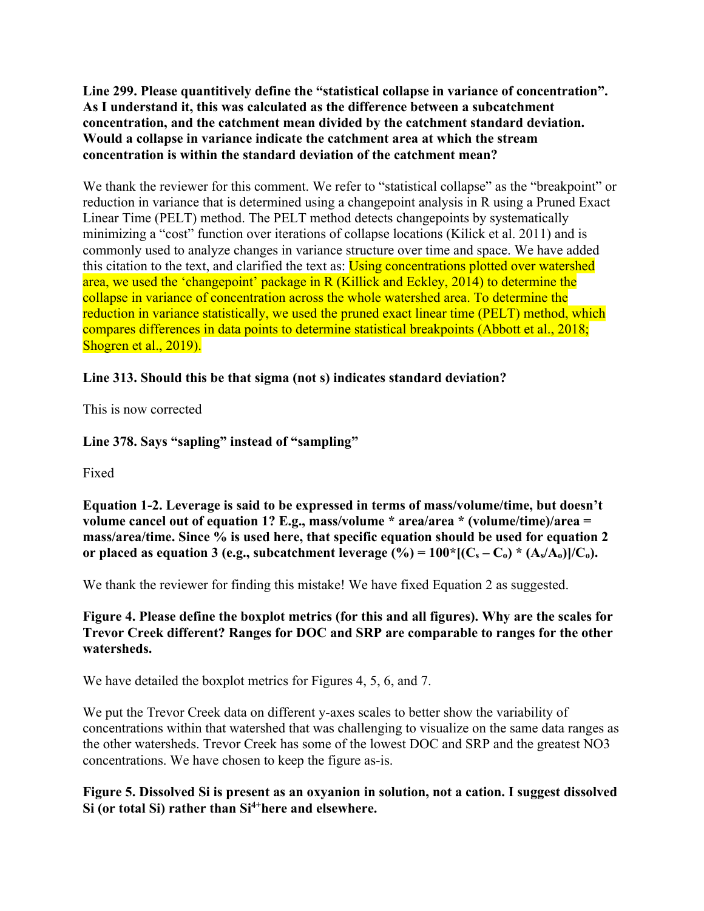**Line 299. Please quantitively define the "statistical collapse in variance of concentration". As I understand it, this was calculated as the difference between a subcatchment concentration, and the catchment mean divided by the catchment standard deviation. Would a collapse in variance indicate the catchment area at which the stream concentration is within the standard deviation of the catchment mean?**

We thank the reviewer for this comment. We refer to "statistical collapse" as the "breakpoint" or reduction in variance that is determined using a changepoint analysis in R using a Pruned Exact Linear Time (PELT) method. The PELT method detects changepoints by systematically minimizing a "cost" function over iterations of collapse locations (Kilick et al. 2011) and is commonly used to analyze changes in variance structure over time and space. We have added this citation to the text, and clarified the text as: Using concentrations plotted over watershed area, we used the 'changepoint' package in R (Killick and Eckley, 2014) to determine the collapse in variance of concentration across the whole watershed area. To determine the reduction in variance statistically, we used the pruned exact linear time (PELT) method, which compares differences in data points to determine statistical breakpoints (Abbott et al., 2018; Shogren et al., 2019).

# **Line 313. Should this be that sigma (not s) indicates standard deviation?**

This is now corrected

# **Line 378. Says "sapling" instead of "sampling"**

Fixed

**Equation 1-2. Leverage is said to be expressed in terms of mass/volume/time, but doesn't volume cancel out of equation 1? E.g., mass/volume \* area/area \* (volume/time)/area = mass/area/time. Since % is used here, that specific equation should be used for equation 2**  or placed as equation 3 (e.g., subcatchment leverage  $(^{0}\prime_0) = 100*[(C_s - C_0) * (A_s/A_0)]/C_0$ ).

We thank the reviewer for finding this mistake! We have fixed Equation 2 as suggested.

# **Figure 4. Please define the boxplot metrics (for this and all figures). Why are the scales for Trevor Creek different? Ranges for DOC and SRP are comparable to ranges for the other watersheds.**

We have detailed the boxplot metrics for Figures 4, 5, 6, and 7.

We put the Trevor Creek data on different y-axes scales to better show the variability of concentrations within that watershed that was challenging to visualize on the same data ranges as the other watersheds. Trevor Creek has some of the lowest DOC and SRP and the greatest NO3 concentrations. We have chosen to keep the figure as-is.

**Figure 5. Dissolved Si is present as an oxyanion in solution, not a cation. I suggest dissolved**  Si (or total Si) rather than Si<sup>4+</sup>here and elsewhere.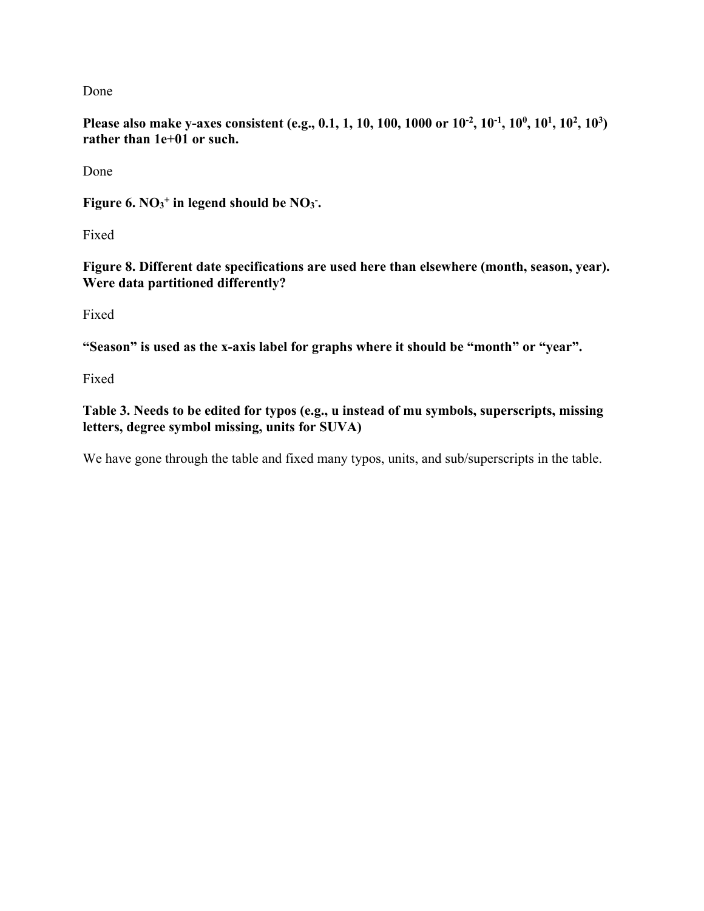Done

**Please also make y-axes consistent (e.g., 0.1, 1, 10, 100, 1000 or**  $10^{-2}$ **,**  $10^{-1}$ **,**  $10^{0}$ **,**  $10^{1}$ **,**  $10^{2}$ **,**  $10^{3}$ **) rather than 1e+01 or such.**

Done

Figure 6.  $NO_3$ <sup>+</sup> in legend should be  $NO_3$ .

Fixed

**Figure 8. Different date specifications are used here than elsewhere (month, season, year). Were data partitioned differently?**

Fixed

**"Season" is used as the x-axis label for graphs where it should be "month" or "year".**

Fixed

**Table 3. Needs to be edited for typos (e.g., u instead of mu symbols, superscripts, missing letters, degree symbol missing, units for SUVA)**

We have gone through the table and fixed many typos, units, and sub/superscripts in the table.